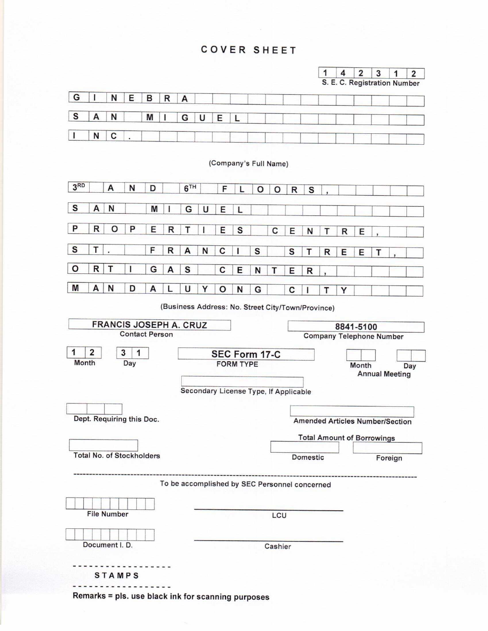## **COVER SHEET**





(Company's Full Name)



(Business Address: No. Street City/Town/Province)



Remarks = pls. use black ink for scanning purposes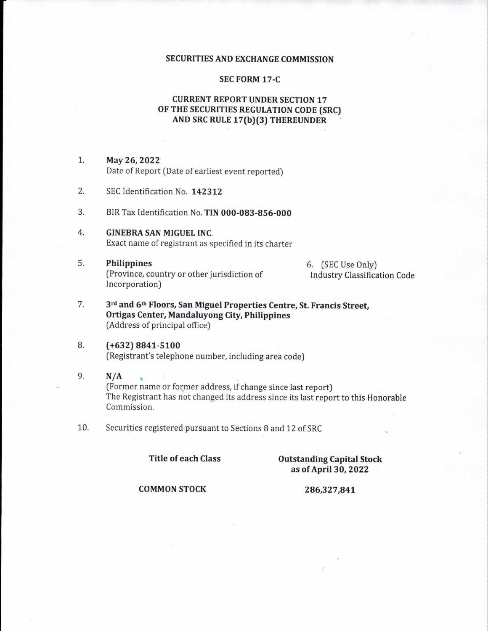#### **SECURITIES AND EXCHANGE COMMISSION**

#### **SEC FORM 17-C**

### **CURRENT REPORT UNDER SECTION 17** OF THE SECURITIES REGULATION CODE (SRC) AND SRC RULE 17(b)(3) THEREUNDER

- $1.$ May 26, 2022 Date of Report (Date of earliest event reported)
- 2. SEC Identification No. 142312
- 3. BIR Tax Identification No. TIN 000-083-856-000
- $4.$ **GINEBRA SAN MIGUEL INC.** Exact name of registrant as specified in its charter
- 5. Philippines (Province, country or other jurisdiction of Incorporation)

6. (SEC Use Only) **Industry Classification Code** 

- 7. 3rd and 6th Floors, San Miguel Properties Centre, St. Francis Street, Ortigas Center, Mandaluyong City, Philippines (Address of principal office)
- 8.  $(+632) 8841 - 5100$ (Registrant's telephone number, including area code)
- 9.  $N/A$ (Former name or former address, if change since last report) The Registrant has not changed its address since its last report to this Honorable Commission.
- $10.$ Securities registered pursuant to Sections 8 and 12 of SRC

**Title of each Class** 

#### **Outstanding Capital Stock** as of April 30, 2022

**COMMON STOCK** 

#### 286,327,841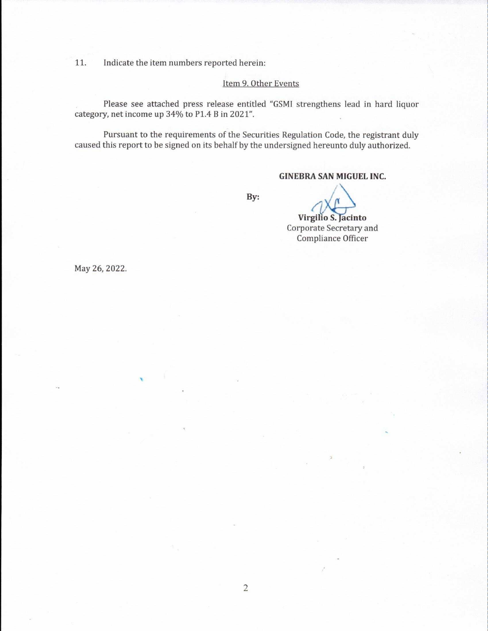Indicate the item numbers reported herein: 11.

#### Item 9. Other Events

Please see attached press release entitled "GSMI strengthens lead in hard liquor category, net income up 34% to P1.4 B in 2021".

Pursuant to the requirements of the Securities Regulation Code, the registrant duly caused this report to be signed on its behalf by the undersigned hereunto duly authorized.

## **GINEBRA SAN MIGUEL INC.**

By:

# Virgilio S. Jacinto Corporate Secretary and

Compliance Officer

May 26, 2022.